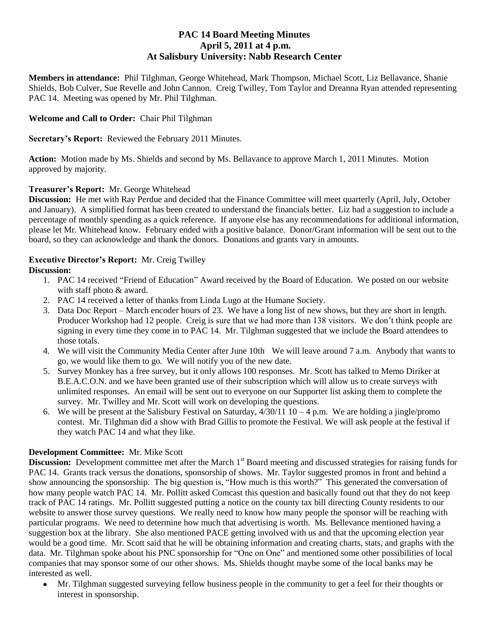# **PAC 14 Board Meeting Minutes April 5, 2011 at 4 p.m. At Salisbury University: Nabb Research Center**

**Members in attendance:** Phil Tilghman, George Whitehead, Mark Thompson, Michael Scott, Liz Bellavance, Shanie Shields, Bob Culver, Sue Revelle and John Cannon. Creig Twilley, Tom Taylor and Dreanna Ryan attended representing PAC 14. Meeting was opened by Mr. Phil Tilghman.

## **Welcome and Call to Order:** Chair Phil Tilghman

**Secretary's Report:** Reviewed the February 2011 Minutes.

**Action:** Motion made by Ms. Shields and second by Ms. Bellavance to approve March 1, 2011 Minutes. Motion approved by majority.

### **Treasurer's Report:** Mr. George Whitehead

**Discussion:** He met with Ray Perdue and decided that the Finance Committee will meet quarterly (April, July, October and January). A simplified format has been created to understand the financials better. Liz had a suggestion to include a percentage of monthly spending as a quick reference. If anyone else has any recommendations for additional information, please let Mr. Whitehead know. February ended with a positive balance. Donor/Grant information will be sent out to the board, so they can acknowledge and thank the donors. Donations and grants vary in amounts.

## **Executive Director's Report:** Mr. Creig Twilley

### **Discussion:**

- 1. PAC 14 received "Friend of Education" Award received by the Board of Education. We posted on our website with staff photo & award.
- 2. PAC 14 received a letter of thanks from Linda Lugo at the Humane Society.
- 3. Data Doc Report March encoder hours of 23. We have a long list of new shows, but they are short in length. Producer Workshop had 12 people. Creig is sure that we had more than 138 visitors. We don't think people are signing in every time they come in to PAC 14. Mr. Tilghman suggested that we include the Board attendees to those totals.
- 4. We will visit the Community Media Center after June 10th We will leave around 7 a.m. Anybody that wants to go, we would like them to go. We will notify you of the new date.
- 5. Survey Monkey has a free survey, but it only allows 100 responses. Mr. Scott has talked to Memo Diriker at B.E.A.C.O.N. and we have been granted use of their subscription which will allow us to create surveys with unlimited responses. An email will be sent out to everyone on our Supporter list asking them to complete the survey. Mr. Twilley and Mr. Scott will work on developing the questions.
- 6. We will be present at the Salisbury Festival on Saturday,  $4/30/1110 4$  p.m. We are holding a jingle/promo contest. Mr. Tilghman did a show with Brad Gillis to promote the Festival. We will ask people at the festival if they watch PAC 14 and what they like.

#### **Development Committee:** Mr. Mike Scott

**Discussion:** Development committee met after the March 1<sup>st</sup> Board meeting and discussed strategies for raising funds for PAC 14. Grants track versus the donations, sponsorship of shows. Mr. Taylor suggested promos in front and behind a show announcing the sponsorship. The big question is, "How much is this worth?" This generated the conversation of how many people watch PAC 14. Mr. Pollitt asked Comcast this question and basically found out that they do not keep track of PAC 14 ratings. Mr. Pollitt suggested putting a notice on the county tax bill directing County residents to our website to answer those survey questions. We really need to know how many people the sponsor will be reaching with particular programs. We need to determine how much that advertising is worth. Ms. Bellevance mentioned having a suggestion box at the library. She also mentioned PACE getting involved with us and that the upcoming election year would be a good time. Mr. Scott said that he will be obtaining information and creating charts, stats, and graphs with the data. Mr. Tilghman spoke about his PNC sponsorship for "One on One" and mentioned some other possibilities of local companies that may sponsor some of our other shows. Ms. Shields thought maybe some of the local banks may be interested as well.

Mr. Tilghman suggested surveying fellow business people in the community to get a feel for their thoughts or interest in sponsorship.